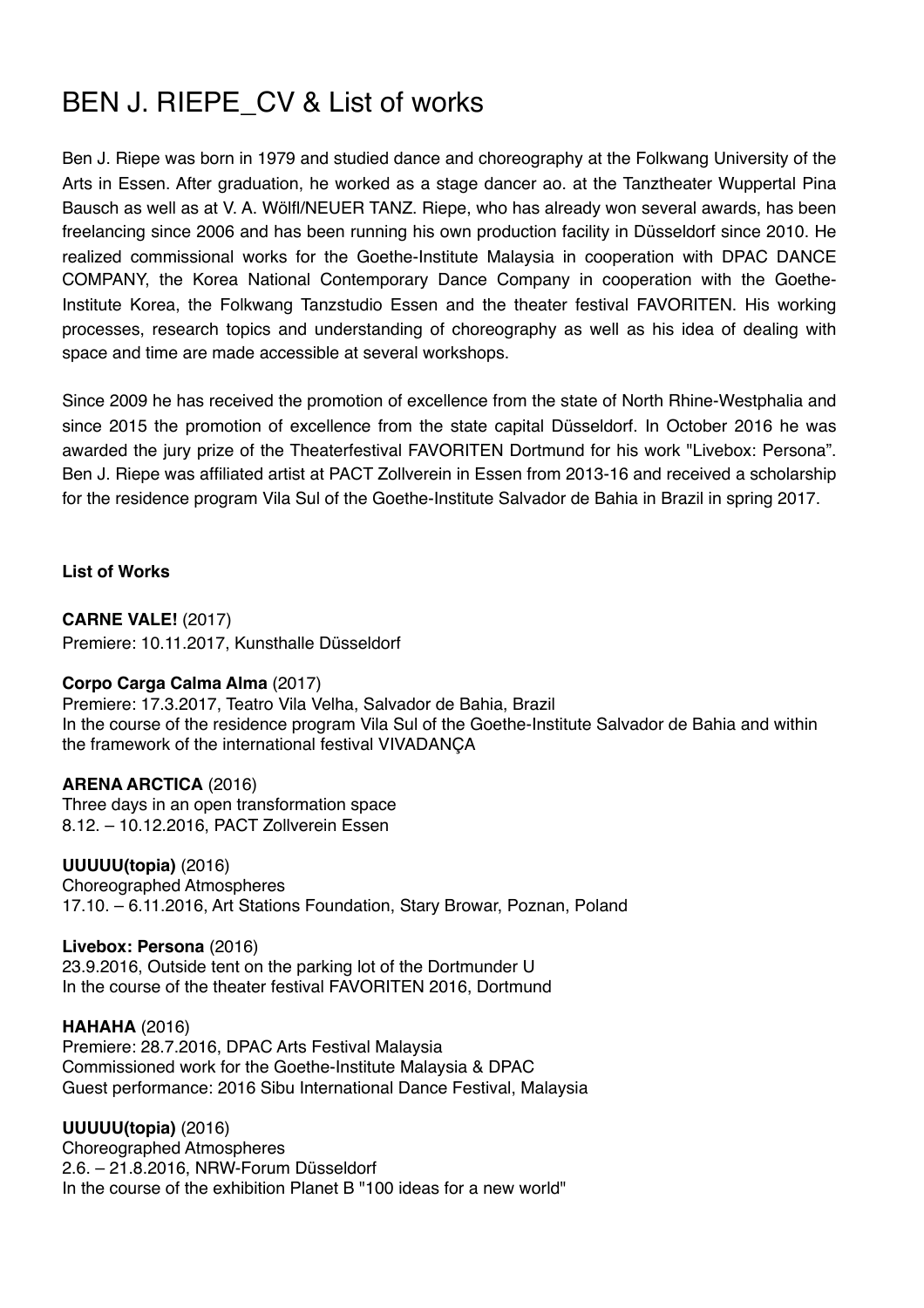# BEN J. RIEPE CV & List of works

Ben J. Riepe was born in 1979 and studied dance and choreography at the Folkwang University of the Arts in Essen. After graduation, he worked as a stage dancer ao. at the Tanztheater Wuppertal Pina Bausch as well as at V. A. Wölfl/NEUER TANZ. Riepe, who has already won several awards, has been freelancing since 2006 and has been running his own production facility in Düsseldorf since 2010. He realized commissional works for the Goethe-Institute Malaysia in cooperation with DPAC DANCE COMPANY, the Korea National Contemporary Dance Company in cooperation with the Goethe-Institute Korea, the Folkwang Tanzstudio Essen and the theater festival FAVORITEN. His working processes, research topics and understanding of choreography as well as his idea of dealing with space and time are made accessible at several workshops.

Since 2009 he has received the promotion of excellence from the state of North Rhine-Westphalia and since 2015 the promotion of excellence from the state capital Düsseldorf. In October 2016 he was awarded the jury prize of the Theaterfestival FAVORITEN Dortmund for his work "Livebox: Persona". Ben J. Riepe was affiliated artist at PACT Zollverein in Essen from 2013-16 and received a scholarship for the residence program Vila Sul of the Goethe-Institute Salvador de Bahia in Brazil in spring 2017.

**List of Works**

**CARNE VALE!** (2017) Premiere: 10.11.2017, Kunsthalle Düsseldorf

# **[Corpo Carga Calma Alma](http://www.benjriepe.com/corpo-carga-calma-alma/)** (2017)

Premiere: 17.3.2017, Teatro Vila Velha, Salvador de Bahia, Brazil In the course of the residence program Vila Sul of the Goethe-Institute Salvador de Bahia and within the framework of the international festival VIVADANÇA

# **[ARENA ARCTICA](http://www.benjriepe.com/arena-arctica/)** (2016)

Three days in an open transformation space 8.12. – 10.12.2016, PACT Zollverein Essen

**[UUUUU\(topia\)](http://www.benjriepe.com/uuuuutopia-poznan/)** (2016) Choreographed Atmospheres 17.10. – 6.11.2016, Art Stations Foundation, Stary Browar, Poznan, Poland

**[Livebox: Persona](http://www.benjriepe.com/livebox-persona/)** (2016)

23.9.2016, Outside tent on the parking lot of the Dortmunder U In the course of the theater festival FAVORITEN 2016, Dortmund

**[HAHAHA](http://www.benjriepe.com/hahaha/)** (2016) Premiere: 28.7.2016, DPAC Arts Festival Malaysia Commissioned work for the Goethe-Institute Malaysia & DPAC Guest [performance](https://www.dict.cc/englisch-deutsch/performance.html): 2016 Sibu International Dance Festival, Malaysia

**[UUUUU\(topia\)](http://www.benjriepe.com/uuuuutopia/)** (2016)

Choreographed Atmospheres 2.6. – 21.8.2016, NRW-Forum Düsseldorf In the course of the exhibition Planet B "100 ideas for a new world"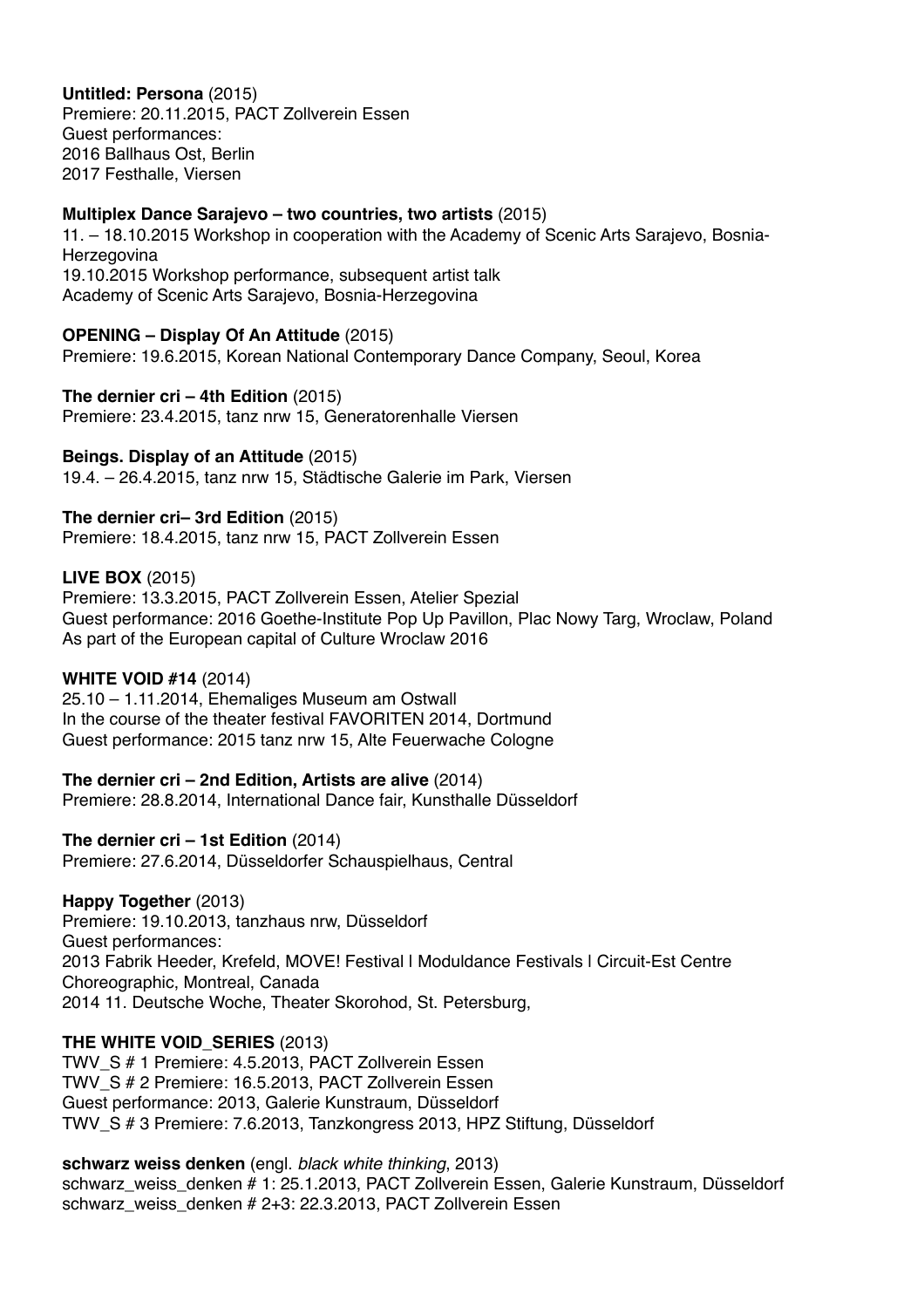# **[Untitled: Persona](http://www.benjriepe.com/untitled-persona/)** (2015)

Premiere: 20.11.2015, PACT Zollverein Essen Guest performances: 2016 Ballhaus Ost, Berlin 2017 Festhalle, Viersen

### **Multiplex Dance Sarajevo – two countries, two artists** (2015)

[11. – 18.10.2015 Workshop in cooperation with the Academy of Scenic Arts Sarajevo, Bosnia-](https://www.dict.cc/englisch-deutsch/Bosnia-Herzegovina.html)**Herzegovina** 19.10.2015 Workshop performance, subsequent artist talk Academy of Scenic Arts Sarajevo, [Bosnia-Herzegovina](https://www.dict.cc/englisch-deutsch/Bosnia-Herzegovina.html)

# **[OPENING – Display Of An Attitude](http://www.benjriepe.com/opening-display-of-an-attitude/)** (2015)

Premiere: 19.6.2015, Korean National Contemporary Dance Company, Seoul, Korea

#### **The dernier cri – 4th Edition** (2015)

Premiere: 23.4.2015, tanz nrw 15, Generatorenhalle Viersen

# **Beings. Display of an Attitude** (2015)

19.4. – 26.4.2015, tanz nrw 15, Städtische Galerie im Park, Viersen

# **The dernier cri– 3rd Edition** (2015)

Premiere: 18.4.2015, tanz nrw 15, PACT Zollverein Essen

# **[LIVE BOX](http://www.benjriepe.com/live-box/)** (2015)

Premiere: 13.3.2015, PACT Zollverein Essen, Atelier Spezial Guest performance: 2016 Goethe-Institute Pop Up Pavillon, Plac Nowy Targ, Wroclaw, Poland As part of the European capital of Culture Wroclaw 2016

# **[WHITE VOID #14](http://www.benjriepe.com/white-void-14/)** (2014)

25.10 – 1.11.2014, Ehemaliges Museum am Ostwall In the course of the theater festival FAVORITEN 2014, Dortmund Guest performance: 2015 tanz nrw 15, Alte Feuerwache Cologne

**The dernier cri – 2nd Edition, Artists are alive** (2014) Premiere: 28.8.2014, International Dance fair, Kunsthalle Düsseldorf

**The dernier cri – 1st Edition** (2014) Premiere: 27.6.2014, Düsseldorfer Schauspielhaus, Central

**[Happy Together](http://www.benjriepe.com/happy-together/)** (2013) Premiere: 19.10.2013, tanzhaus nrw, Düsseldorf Guest performances: 2013 Fabrik Heeder, Krefeld, MOVE! Festival | Moduldance Festivals | Circuit-Est Centre Choreographic, Montreal, Canada 2014 11. Deutsche Woche, Theater Skorohod, St. Petersburg,

# **THE WHITE VOID\_SERIES** (2013)

TWV\_S # 1 Premiere: 4.5.2013, PACT Zollverein Essen TWV\_S # 2 Premiere: 16.5.2013, PACT Zollverein Essen Guest performance: 2013, Galerie Kunstraum, Düsseldorf TWV\_S # 3 Premiere: 7.6.2013, Tanzkongress 2013, HPZ Stiftung, Düsseldorf

#### **schwarz weiss denken** (engl. *black white thinking*, 2013)

schwarz\_weiss\_denken # 1: 25.1.2013, PACT Zollverein Essen, Galerie Kunstraum, Düsseldorf schwarz\_weiss\_denken # 2+3: 22.3.2013, PACT Zollverein Essen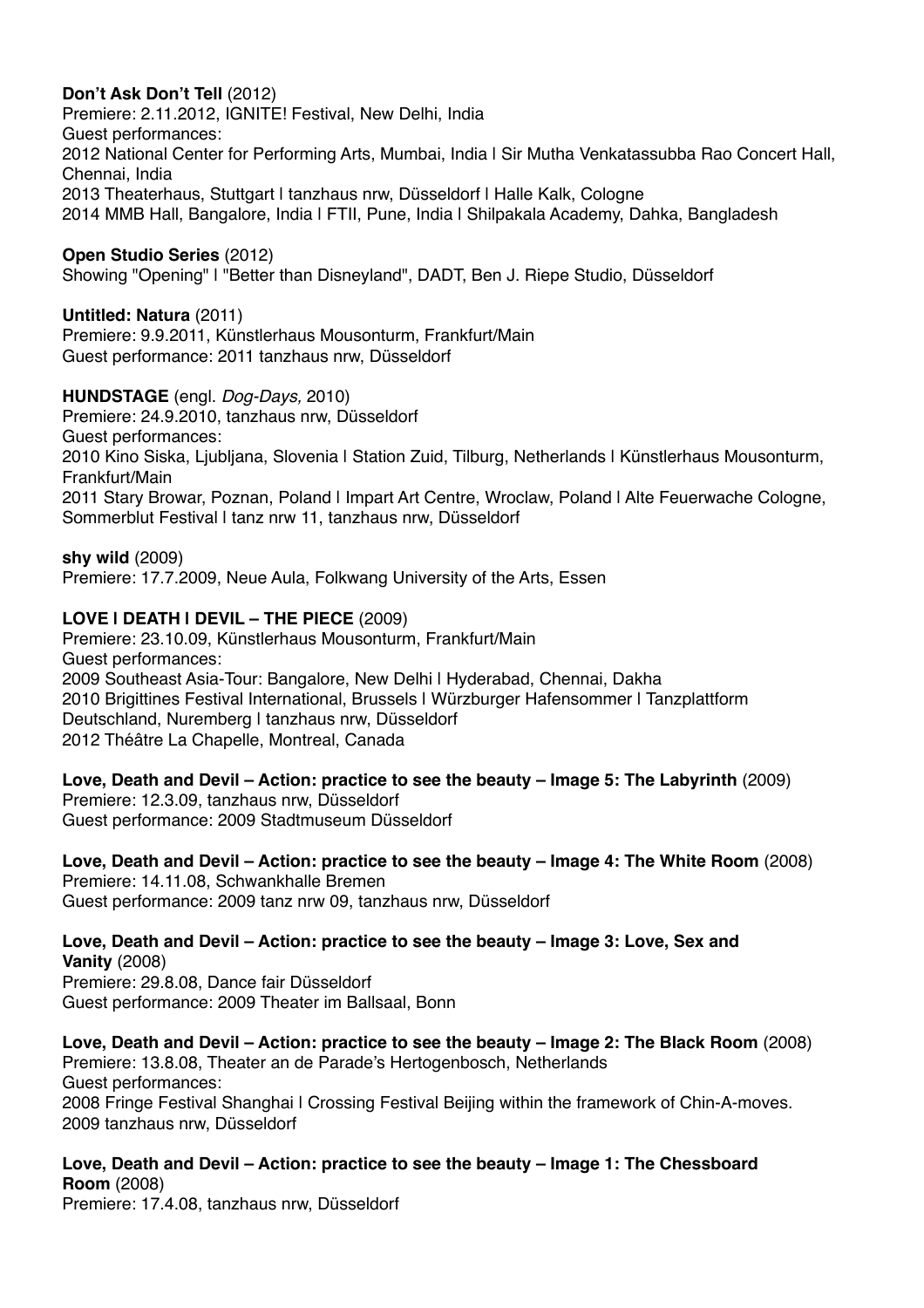# **Don't Ask Don't Tell** (2012)

Premiere: 2.11.2012, IGNITE! Festival, New Delhi, India Guest performances: 2012 National Center for Performing Arts, Mumbai, India | Sir Mutha Venkatassubba Rao Concert Hall, Chennai, India 2013 Theaterhaus, Stuttgart I tanzhaus nrw, Düsseldorf I Halle Kalk, Cologne 2014 MMB Hall, Bangalore, India | FTII, Pune, India | Shilpakala Academy, Dahka, Bangladesh

**Open Studio Series** (2012)

Showing "Opening" | "Better than Disneyland", DADT, Ben J. Riepe Studio, Düsseldorf

# **Untitled: Natura** (2011)

Premiere: 9.9.2011, Künstlerhaus Mousonturm, Frankfurt/Main Guest performance: 2011 tanzhaus nrw, Düsseldorf

# **HUNDSTAGE** (engl. *Dog-Days,* 2010)

Premiere: 24.9.2010, tanzhaus nrw, Düsseldorf Guest performances: 2010 Kino Siska, Ljubljana, Slovenia | Station Zuid, Tilburg, Netherlands | Künstlerhaus Mousonturm, Frankfurt/Main 2011 Stary Browar, Poznan, Poland | Impart Art Centre, Wroclaw, Poland | Alte Feuerwache Cologne, Sommerblut Festival I tanz nrw 11, tanzhaus nrw, Düsseldorf

#### **shy wild** (2009)

Premiere: 17.7.2009, Neue Aula, Folkwang University of the Arts, Essen

# **LOVE | DEATH | DEVIL – THE PIECE** (2009)

Premiere: 23.10.09, Künstlerhaus Mousonturm, Frankfurt/Main Guest performances: 2009 [Southeast](https://www.dict.cc/englisch-deutsch/Southeast.html) [Asia-](https://www.dict.cc/englisch-deutsch/Asia.html)Tour: Bangalore, New Delhi | Hyderabad, Chennai, Dakha 2010 Brigittines Festival International, Brussels | Würzburger Hafensommer | Tanzplattform Deutschland, Nuremberg | tanzhaus nrw, Düsseldorf 2012 Théâtre La Chapelle, Montreal, Canada

**Love, Death and Devil – Action: practice to see the beauty – Image 5: The Labyrinth** (2009) Premiere: 12.3.09, tanzhaus nrw, Düsseldorf Guest performance: 2009 Stadtmuseum Düsseldorf

**Love, Death and Devil – Action: practice to see the beauty – Image 4: The White Room** (2008) Premiere: 14.11.08, Schwankhalle Bremen Guest performance: 2009 tanz nrw 09, tanzhaus nrw, Düsseldorf

**Love, Death and Devil – Action: practice to see the beauty – Image 3: Love, Sex and Vanity** (2008) Premiere: 29.8.08, Dance fair Düsseldorf Guest performance: 2009 Theater im Ballsaal, Bonn

**Love, Death and Devil – Action: practice to see the beauty – Image 2: The Black Room** (2008) Premiere: 13.8.08, Theater an de Parade's Hertogenbosch, Netherlands Guest performances: 2008 Fringe Festival Shanghai | Crossing Festival Beijing within the framework of Chin-A-moves. 2009 tanzhaus nrw, Düsseldorf

**Love, Death and Devil – Action: practice to see the beauty – Image 1: The Chessboard Room** (2008) Premiere: 17.4.08, tanzhaus nrw, Düsseldorf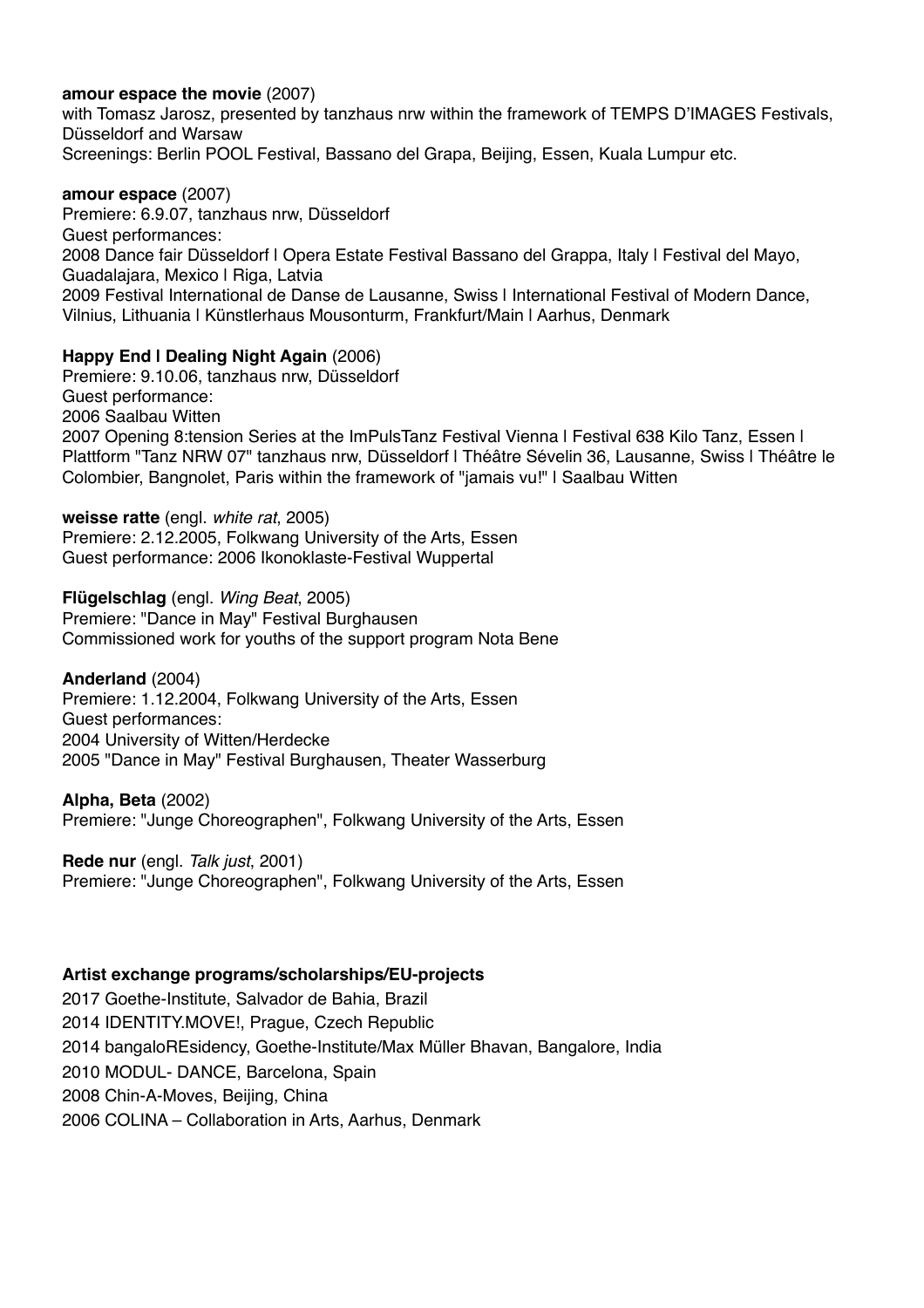### **amour espace the movie** (2007)

with Tomasz Jarosz, presented by tanzhaus nrw within the framework of TEMPS D'IMAGES Festivals, Düsseldorf and Warsaw Screenings: Berlin POOL Festival, Bassano del Grapa, Beijing, Essen, Kuala Lumpur etc.

#### **amour espace** (2007)

Premiere: 6.9.07, tanzhaus nrw, Düsseldorf Guest performances: 2008 Dance fair Düsseldorf | Opera Estate Festival Bassano del Grappa, Italy | Festival del Mayo, Guadalajara, Mexico | Riga, Latvia 2009 Festival International de Danse de Lausanne, Swiss | International Festival of Modern Dance, Vilnius, Lithuania | Künstlerhaus Mousonturm, Frankfurt/Main | Aarhus, Denmark

# **Happy End | Dealing Night Again** (2006)

Premiere: 9.10.06, tanzhaus nrw, Düsseldorf Guest performance: 2006 Saalbau Witten 2007 Opening 8:tension Series at the ImPulsTanz Festival Vienna | Festival 638 Kilo Tanz, Essen | Plattform "Tanz NRW 07" tanzhaus nrw, Düsseldorf | Théâtre Sévelin 36, Lausanne, Swiss | Théâtre le Colombier, Bangnolet, Paris within the framework of "jamais vu!" | Saalbau Witten

#### **weisse ratte** (engl. *white rat*, 2005)

Premiere: 2.12.2005, Folkwang University of the Arts, Essen Guest performance: 2006 Ikonoklaste-Festival Wuppertal

**Flügelschlag** (engl. *Wing Beat*, 2005) Premiere: "Dance in May" Festival Burghausen Commissioned work for youths of the support program Nota Bene

# **Anderland** (2004)

Premiere: 1.12.2004, Folkwang University of the Arts, Essen Guest performances: 2004 University of Witten/Herdecke 2005 "Dance in May" Festival Burghausen, Theater Wasserburg

# **Alpha, Beta** (2002)

Premiere: "Junge Choreographen", Folkwang University of the Arts, Essen

**Rede nur** (engl. *Talk just*, 2001) Premiere: "Junge Choreographen", Folkwang University of the Arts, Essen

# **Artist exchange programs/scholarships/EU-projects**

2017 Goethe-Institute, Salvador de Bahia, Brazil 2014 IDENTITY.MOVE!, Prague, [Czech](https://www.dict.cc/englisch-deutsch/Czech.html) [Republic](https://www.dict.cc/englisch-deutsch/Republic.html) 2014 bangaloREsidency, Goethe-Institute/Max Müller Bhavan, Bangalore, India 2010 MODUL- DANCE, Barcelona, Spain 2008 Chin-A-Moves, Beijing, China 2006 COLINA – Collaboration in Arts, Aarhus, Denmark